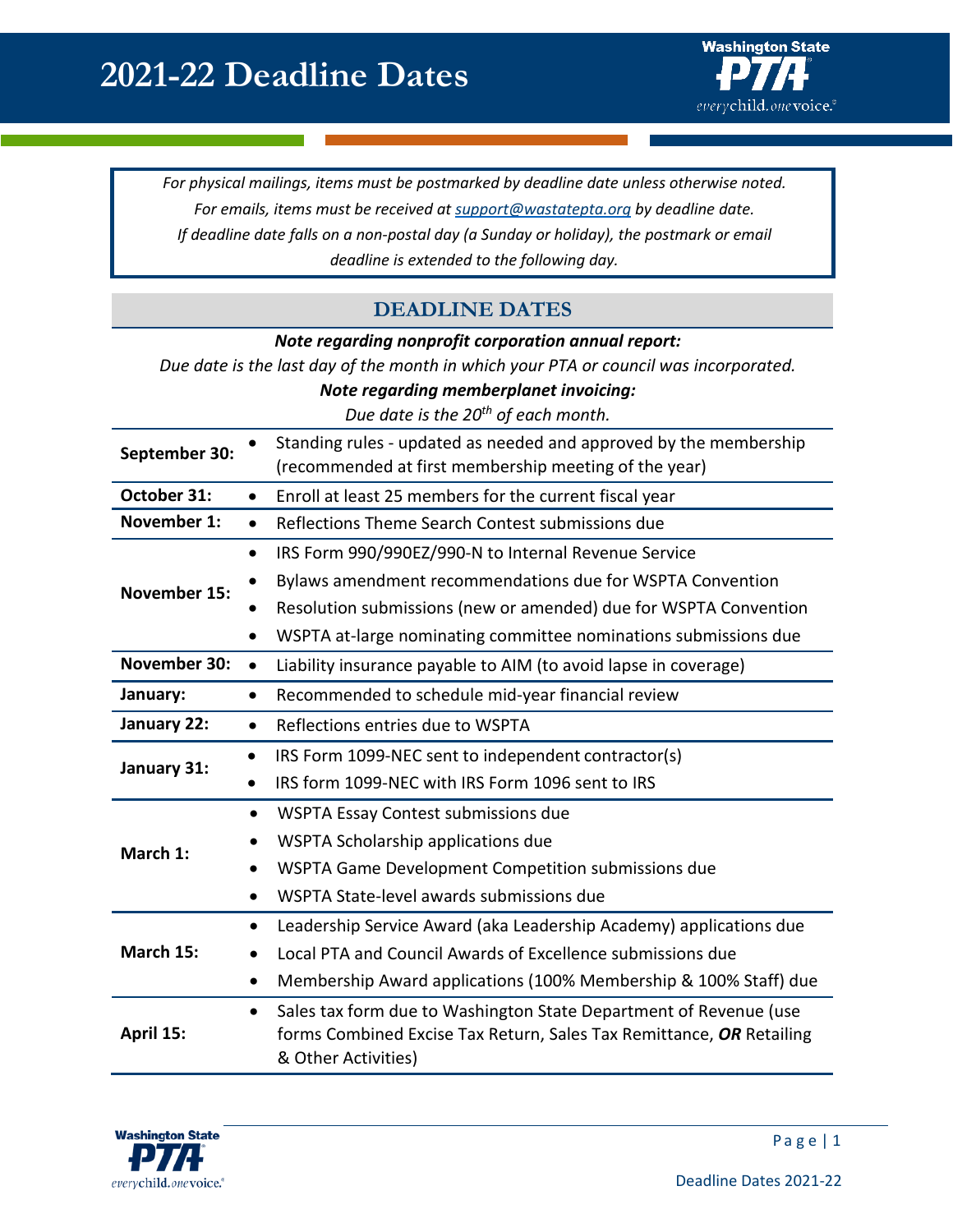

*For physical mailings, items must be postmarked by deadline date unless otherwise noted. For emails, items must be received a[t support@wastatepta.org](mailto:support@wastatepta.org) by deadline date. If deadline date falls on a non-postal day (a Sunday or holiday), the postmark or email deadline is extended to the following day.*

## **DEADLINE DATES**

*Note regarding nonprofit corporation annual report:*

*Due date is the last day of the month in which your PTA or council was incorporated.*

*Note regarding memberplanet invoicing:*

*Due date is the 20th of each month.*

| September 30:       | Standing rules - updated as needed and approved by the membership<br>(recommended at first membership meeting of the year) |  |
|---------------------|----------------------------------------------------------------------------------------------------------------------------|--|
| October 31:         | Enroll at least 25 members for the current fiscal year<br>$\bullet$                                                        |  |
| <b>November 1:</b>  | Reflections Theme Search Contest submissions due                                                                           |  |
| <b>November 15:</b> | IRS Form 990/990EZ/990-N to Internal Revenue Service<br>$\bullet$                                                          |  |
|                     | Bylaws amendment recommendations due for WSPTA Convention                                                                  |  |
|                     | Resolution submissions (new or amended) due for WSPTA Convention                                                           |  |
|                     | WSPTA at-large nominating committee nominations submissions due<br>$\bullet$                                               |  |
| November 30:        | Liability insurance payable to AIM (to avoid lapse in coverage)<br>$\bullet$                                               |  |
| January:            | Recommended to schedule mid-year financial review<br>٠                                                                     |  |
| January 22:         | Reflections entries due to WSPTA<br>$\bullet$                                                                              |  |
| January 31:         | IRS Form 1099-NEC sent to independent contractor(s)<br>$\bullet$                                                           |  |
|                     | IRS form 1099-NEC with IRS Form 1096 sent to IRS                                                                           |  |
|                     | <b>WSPTA Essay Contest submissions due</b><br>$\bullet$                                                                    |  |
| March 1:            | WSPTA Scholarship applications due                                                                                         |  |
|                     | WSPTA Game Development Competition submissions due                                                                         |  |
|                     | WSPTA State-level awards submissions due<br>$\bullet$                                                                      |  |
|                     | Leadership Service Award (aka Leadership Academy) applications due<br>٠                                                    |  |
| March 15:           | Local PTA and Council Awards of Excellence submissions due                                                                 |  |
|                     | Membership Award applications (100% Membership & 100% Staff) due<br>$\bullet$                                              |  |
|                     | Sales tax form due to Washington State Department of Revenue (use<br>$\bullet$                                             |  |
| April 15:           | forms Combined Excise Tax Return, Sales Tax Remittance, OR Retailing                                                       |  |
|                     | & Other Activities)                                                                                                        |  |